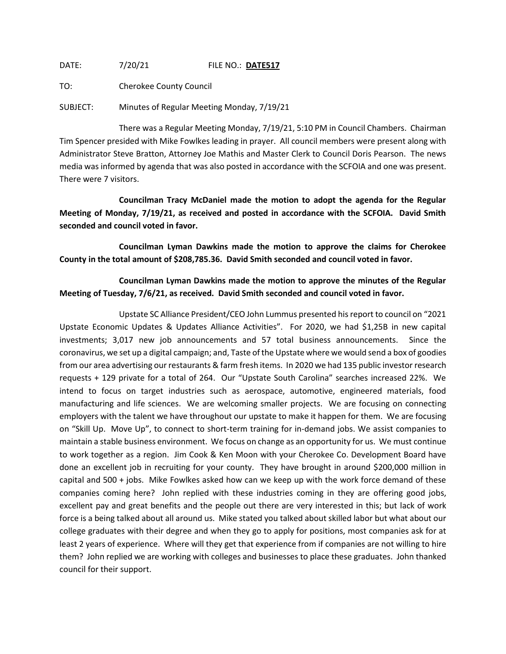DATE: 7/20/21 FILE NO.: **DATE517**

TO: Cherokee County Council

SUBJECT: Minutes of Regular Meeting Monday, 7/19/21

There was a Regular Meeting Monday, 7/19/21, 5:10 PM in Council Chambers. Chairman Tim Spencer presided with Mike Fowlkes leading in prayer. All council members were present along with Administrator Steve Bratton, Attorney Joe Mathis and Master Clerk to Council Doris Pearson. The news media was informed by agenda that was also posted in accordance with the SCFOIA and one was present. There were 7 visitors.

**Councilman Tracy McDaniel made the motion to adopt the agenda for the Regular Meeting of Monday, 7/19/21, as received and posted in accordance with the SCFOIA. David Smith seconded and council voted in favor.**

**Councilman Lyman Dawkins made the motion to approve the claims for Cherokee County in the total amount of \$208,785.36. David Smith seconded and council voted in favor.**

**Councilman Lyman Dawkins made the motion to approve the minutes of the Regular Meeting of Tuesday, 7/6/21, as received. David Smith seconded and council voted in favor.**

Upstate SC Alliance President/CEO John Lummus presented his report to council on "2021 Upstate Economic Updates & Updates Alliance Activities". For 2020, we had \$1,25B in new capital investments; 3,017 new job announcements and 57 total business announcements. Since the coronavirus, we set up a digital campaign; and, Taste of the Upstate where we would send a box of goodies from our area advertising our restaurants & farm fresh items. In 2020 we had 135 public investor research requests + 129 private for a total of 264. Our "Upstate South Carolina" searches increased 22%. We intend to focus on target industries such as aerospace, automotive, engineered materials, food manufacturing and life sciences. We are welcoming smaller projects. We are focusing on connecting employers with the talent we have throughout our upstate to make it happen for them. We are focusing on "Skill Up. Move Up", to connect to short-term training for in-demand jobs. We assist companies to maintain a stable business environment. We focus on change as an opportunity for us. We must continue to work together as a region. Jim Cook & Ken Moon with your Cherokee Co. Development Board have done an excellent job in recruiting for your county. They have brought in around \$200,000 million in capital and 500 + jobs. Mike Fowlkes asked how can we keep up with the work force demand of these companies coming here? John replied with these industries coming in they are offering good jobs, excellent pay and great benefits and the people out there are very interested in this; but lack of work force is a being talked about all around us. Mike stated you talked about skilled labor but what about our college graduates with their degree and when they go to apply for positions, most companies ask for at least 2 years of experience. Where will they get that experience from if companies are not willing to hire them? John replied we are working with colleges and businesses to place these graduates. John thanked council for their support.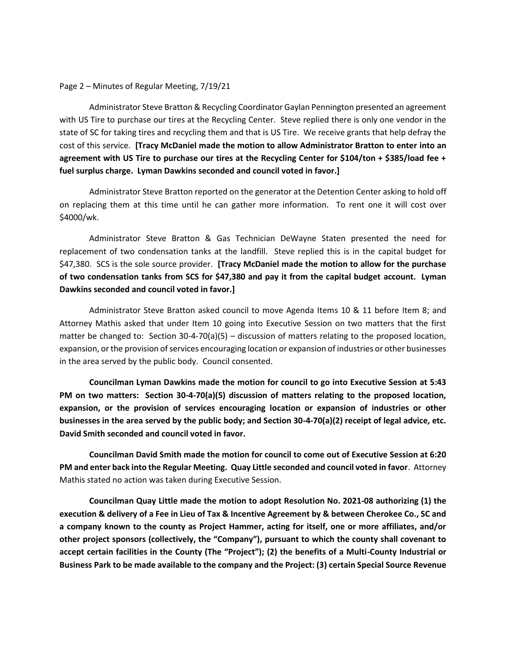## Page 2 – Minutes of Regular Meeting, 7/19/21

Administrator Steve Bratton & Recycling Coordinator Gaylan Pennington presented an agreement with US Tire to purchase our tires at the Recycling Center. Steve replied there is only one vendor in the state of SC for taking tires and recycling them and that is US Tire. We receive grants that help defray the cost of this service. **[Tracy McDaniel made the motion to allow Administrator Bratton to enter into an agreement with US Tire to purchase our tires at the Recycling Center for \$104/ton + \$385/load fee + fuel surplus charge. Lyman Dawkins seconded and council voted in favor.]**

Administrator Steve Bratton reported on the generator at the Detention Center asking to hold off on replacing them at this time until he can gather more information. To rent one it will cost over \$4000/wk.

Administrator Steve Bratton & Gas Technician DeWayne Staten presented the need for replacement of two condensation tanks at the landfill. Steve replied this is in the capital budget for \$47,380. SCS is the sole source provider. **[Tracy McDaniel made the motion to allow for the purchase of two condensation tanks from SCS for \$47,380 and pay it from the capital budget account. Lyman Dawkins seconded and council voted in favor.]**

Administrator Steve Bratton asked council to move Agenda Items 10 & 11 before Item 8; and Attorney Mathis asked that under Item 10 going into Executive Session on two matters that the first matter be changed to: Section 30-4-70(a)(5) – discussion of matters relating to the proposed location, expansion, or the provision of services encouraging location or expansion of industries or other businesses in the area served by the public body. Council consented.

**Councilman Lyman Dawkins made the motion for council to go into Executive Session at 5:43 PM on two matters: Section 30-4-70(a)(5) discussion of matters relating to the proposed location, expansion, or the provision of services encouraging location or expansion of industries or other businesses in the area served by the public body; and Section 30-4-70(a)(2) receipt of legal advice, etc. David Smith seconded and council voted in favor.**

**Councilman David Smith made the motion for council to come out of Executive Session at 6:20 PM and enter back into the Regular Meeting. Quay Little seconded and council voted in favor**. Attorney Mathis stated no action was taken during Executive Session.

**Councilman Quay Little made the motion to adopt Resolution No. 2021-08 authorizing (1) the execution & delivery of a Fee in Lieu of Tax & Incentive Agreement by & between Cherokee Co., SC and a company known to the county as Project Hammer, acting for itself, one or more affiliates, and/or other project sponsors (collectively, the "Company"), pursuant to which the county shall covenant to accept certain facilities in the County (The "Project"); (2) the benefits of a Multi-County Industrial or Business Park to be made available to the company and the Project: (3) certain Special Source Revenue**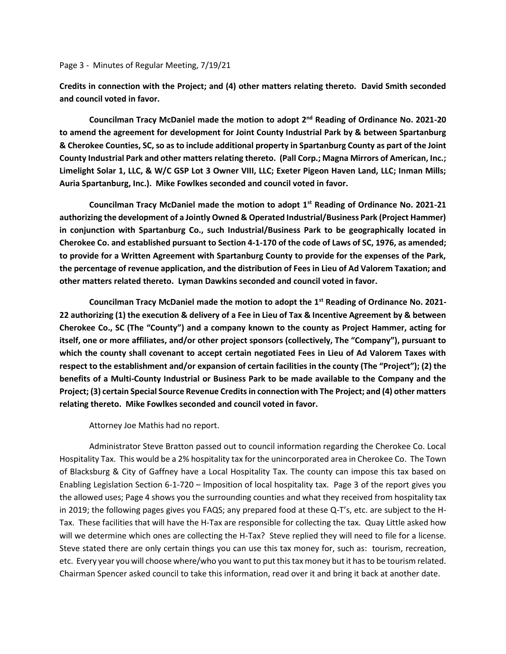## Page 3 - Minutes of Regular Meeting, 7/19/21

**Credits in connection with the Project; and (4) other matters relating thereto. David Smith seconded and council voted in favor.**

**Councilman Tracy McDaniel made the motion to adopt 2nd Reading of Ordinance No. 2021-20 to amend the agreement for development for Joint County Industrial Park by & between Spartanburg & Cherokee Counties, SC, so as to include additional property in Spartanburg County as part of the Joint County Industrial Park and other matters relating thereto. (Pall Corp.; Magna Mirrors of American, Inc.; Limelight Solar 1, LLC, & W/C GSP Lot 3 Owner VIII, LLC; Exeter Pigeon Haven Land, LLC; Inman Mills; Auria Spartanburg, Inc.). Mike Fowlkes seconded and council voted in favor.**

**Councilman Tracy McDaniel made the motion to adopt 1st Reading of Ordinance No. 2021-21 authorizing the development of a Jointly Owned & Operated Industrial/Business Park (Project Hammer) in conjunction with Spartanburg Co., such Industrial/Business Park to be geographically located in Cherokee Co. and established pursuant to Section 4-1-170 of the code of Laws of SC, 1976, as amended; to provide for a Written Agreement with Spartanburg County to provide for the expenses of the Park, the percentage of revenue application, and the distribution of Fees in Lieu of Ad Valorem Taxation; and other matters related thereto. Lyman Dawkins seconded and council voted in favor.**

**Councilman Tracy McDaniel made the motion to adopt the 1st Reading of Ordinance No. 2021- 22 authorizing (1) the execution & delivery of a Fee in Lieu of Tax & Incentive Agreement by & between Cherokee Co., SC (The "County") and a company known to the county as Project Hammer, acting for itself, one or more affiliates, and/or other project sponsors (collectively, The "Company"), pursuant to which the county shall covenant to accept certain negotiated Fees in Lieu of Ad Valorem Taxes with respect to the establishment and/or expansion of certain facilities in the county (The "Project"); (2) the benefits of a Multi-County Industrial or Business Park to be made available to the Company and the Project; (3) certain Special Source Revenue Credits in connection with The Project; and (4) other matters relating thereto. Mike Fowlkes seconded and council voted in favor.**

Attorney Joe Mathis had no report.

Administrator Steve Bratton passed out to council information regarding the Cherokee Co. Local Hospitality Tax. This would be a 2% hospitality tax for the unincorporated area in Cherokee Co. The Town of Blacksburg & City of Gaffney have a Local Hospitality Tax. The county can impose this tax based on Enabling Legislation Section 6-1-720 – Imposition of local hospitality tax. Page 3 of the report gives you the allowed uses; Page 4 shows you the surrounding counties and what they received from hospitality tax in 2019; the following pages gives you FAQS; any prepared food at these Q-T's, etc. are subject to the H-Tax. These facilities that will have the H-Tax are responsible for collecting the tax. Quay Little asked how will we determine which ones are collecting the H-Tax? Steve replied they will need to file for a license. Steve stated there are only certain things you can use this tax money for, such as: tourism, recreation, etc. Every year you will choose where/who you want to put this tax money but it has to be tourism related. Chairman Spencer asked council to take this information, read over it and bring it back at another date.